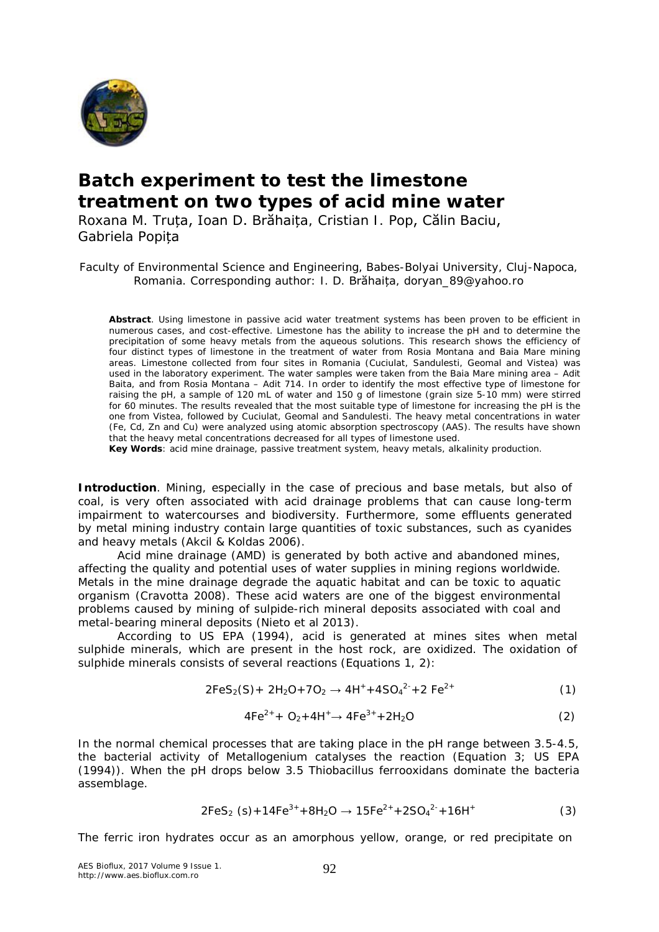

## **Batch experiment to test the limestone treatment on two types of acid mine water**

Roxana M. Truța, Ioan D. Brăhaița, Cristian I. Pop, Călin Baciu, Gabriela Popița

Faculty of Environmental Science and Engineering, Babes-Bolyai University, Cluj-Napoca, Romania. Corresponding author: I. D. Brăhaița, doryan\_89@yahoo.ro

**Abstract**. Using limestone in passive acid water treatment systems has been proven to be efficient in numerous cases, and cost-effective. Limestone has the ability to increase the pH and to determine the precipitation of some heavy metals from the aqueous solutions. This research shows the efficiency of four distinct types of limestone in the treatment of water from Rosia Montana and Baia Mare mining areas. Limestone collected from four sites in Romania (Cuciulat, Sandulesti, Geomal and Vistea) was used in the laboratory experiment. The water samples were taken from the Baia Mare mining area – Adit Baita, and from Rosia Montana – Adit 714. In order to identify the most effective type of limestone for raising the pH, a sample of 120 mL of water and 150 g of limestone (grain size 5-10 mm) were stirred for 60 minutes. The results revealed that the most suitable type of limestone for increasing the pH is the one from Vistea, followed by Cuciulat, Geomal and Sandulesti. The heavy metal concentrations in water (Fe, Cd, Zn and Cu) were analyzed using atomic absorption spectroscopy (AAS). The results have shown that the heavy metal concentrations decreased for all types of limestone used.

**Key Words**: acid mine drainage, passive treatment system, heavy metals, alkalinity production.

**Introduction**. Mining, especially in the case of precious and base metals, but also of coal, is very often associated with acid drainage problems that can cause long-term impairment to watercourses and biodiversity. Furthermore, some effluents generated by metal mining industry contain large quantities of toxic substances, such as cyanides and heavy metals (Akcil & Koldas 2006).

Acid mine drainage (AMD) is generated by both active and abandoned mines, affecting the quality and potential uses of water supplies in mining regions worldwide. Metals in the mine drainage degrade the aquatic habitat and can be toxic to aquatic organism (Cravotta 2008). These acid waters are one of the biggest environmental problems caused by mining of sulpide-rich mineral deposits associated with coal and metal-bearing mineral deposits (Nieto et al 2013).

According to US EPA (1994), acid is generated at mines sites when metal sulphide minerals, which are present in the host rock, are oxidized. The oxidation of sulphide minerals consists of several reactions (Equations 1, 2):

$$
2FeS_2(S) + 2H_2O + 7O_2 \rightarrow 4H^+ + 4SO_4^{2-} + 2Fe^{2+}
$$
 (1)

$$
4Fe^{2+} + O_2 + 4H^+ \rightarrow 4Fe^{3+} + 2H_2O
$$
 (2)

In the normal chemical processes that are taking place in the pH range between 3.5-4.5, the bacterial activity of *Metallogenium* catalyses the reaction (Equation 3; US EPA (1994)). When the pH drops below 3.5 *Thiobacillus ferrooxidans* dominate the bacteria assemblage.

$$
2FeS_2 (s) + 14Fe^{3+} + 8H_2O \rightarrow 15Fe^{2+} + 2SO_4^{2-} + 16H^+ \tag{3}
$$

The ferric iron hydrates occur as an amorphous yellow, orange, or red precipitate on

AES Bioflux, 2017 Volume 9 Issue 1. http://www.aes.bioflux.com.ro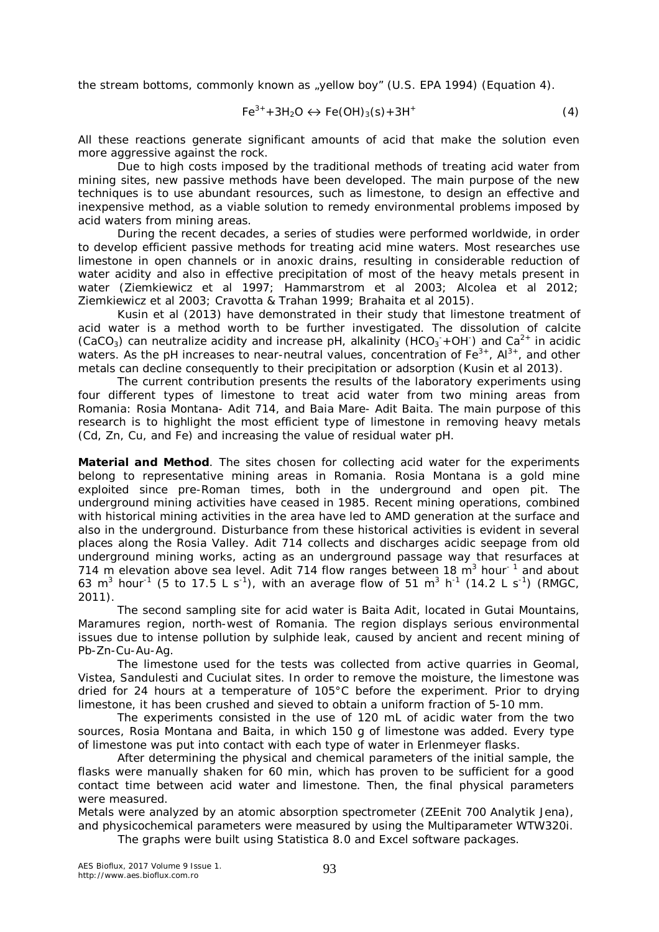the stream bottoms, commonly known as "yellow boy" (U.S. EPA 1994) (Equation 4).

$$
Fe^{3+} + 3H_2O \leftrightarrow Fe(OH)_3(s) + 3H^+ \tag{4}
$$

All these reactions generate significant amounts of acid that make the solution even more aggressive against the rock.

Due to high costs imposed by the traditional methods of treating acid water from mining sites, new passive methods have been developed. The main purpose of the new techniques is to use abundant resources, such as limestone, to design an effective and inexpensive method, as a viable solution to remedy environmental problems imposed by acid waters from mining areas.

During the recent decades, a series of studies were performed worldwide, in order to develop efficient passive methods for treating acid mine waters. Most researches use limestone in open channels or in anoxic drains, resulting in considerable reduction of water acidity and also in effective precipitation of most of the heavy metals present in water (Ziemkiewicz et al 1997; Hammarstrom et al 2003; Alcolea et al 2012; Ziemkiewicz et al 2003; Cravotta & Trahan 1999; Brahaita et al 2015).

Kusin et al (2013) have demonstrated in their study that limestone treatment of acid water is a method worth to be further investigated. The dissolution of calcite (CaCO<sub>3</sub>) can neutralize acidity and increase pH, alkalinity (HCO<sub>3</sub><sup>+</sup>OH<sup>-</sup>) and Ca<sup>2+</sup> in acidic waters. As the pH increases to near-neutral values, concentration of  $Fe^{3+}$ ,  $Al^{3+}$ , and other metals can decline consequently to their precipitation or adsorption (Kusin et al 2013).

The current contribution presents the results of the laboratory experiments using four different types of limestone to treat acid water from two mining areas from Romania: Rosia Montana- Adit 714, and Baia Mare- Adit Baita. The main purpose of this research is to highlight the most efficient type of limestone in removing heavy metals (Cd, Zn, Cu, and Fe) and increasing the value of residual water pH.

**Material and Method**. The sites chosen for collecting acid water for the experiments belong to representative mining areas in Romania. Rosia Montana is a gold mine exploited since pre-Roman times, both in the underground and open pit. The underground mining activities have ceased in 1985. Recent mining operations, combined with historical mining activities in the area have led to AMD generation at the surface and also in the underground. Disturbance from these historical activities is evident in several places along the Rosia Valley. Adit 714 collects and discharges acidic seepage from old underground mining works, acting as an underground passage way that resurfaces at 714 m elevation above sea level. Adit 714 flow ranges between 18  $m<sup>3</sup>$  hour<sup>-1</sup> and about 63 m<sup>3</sup> hour<sup>-1</sup> (5 to 17.5 L s<sup>-1</sup>), with an average flow of 51 m<sup>3</sup> h<sup>-1</sup> (14.2 L s<sup>-1</sup>) (RMGC, 2011).

The second sampling site for acid water is Baita Adit, located in Gutai Mountains, Maramures region, north-west of Romania. The region displays serious environmental issues due to intense pollution by sulphide leak, caused by ancient and recent mining of Pb-Zn-Cu-Au-Ag.

The limestone used for the tests was collected from active quarries in Geomal, Vistea, Sandulesti and Cuciulat sites. In order to remove the moisture, the limestone was dried for 24 hours at a temperature of 105°C before the experiment. Prior to drying limestone, it has been crushed and sieved to obtain a uniform fraction of 5-10 mm.

The experiments consisted in the use of 120 mL of acidic water from the two sources, Rosia Montana and Baita, in which 150 g of limestone was added. Every type of limestone was put into contact with each type of water in Erlenmeyer flasks.

After determining the physical and chemical parameters of the initial sample, the flasks were manually shaken for 60 min, which has proven to be sufficient for a good contact time between acid water and limestone. Then, the final physical parameters were measured.

Metals were analyzed by an atomic absorption spectrometer (ZEEnit 700 Analytik Jena), and physicochemical parameters were measured by using the Multiparameter WTW320i.

The graphs were built using Statistica 8.0 and Excel software packages.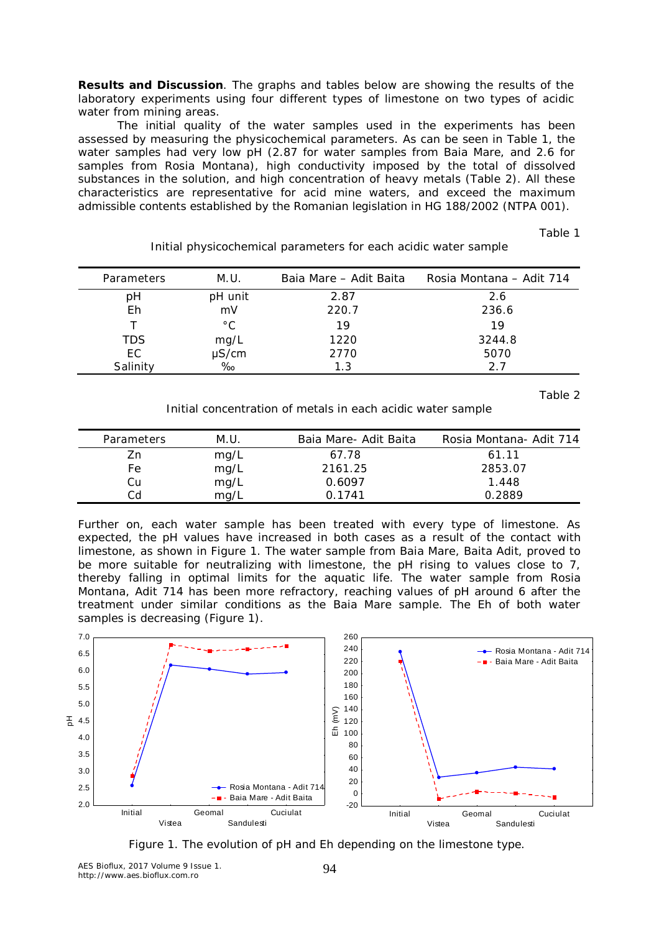**Results and Discussion**. The graphs and tables below are showing the results of the laboratory experiments using four different types of limestone on two types of acidic water from mining areas.

The initial quality of the water samples used in the experiments has been assessed by measuring the physicochemical parameters. As can be seen in Table 1, the water samples had very low pH (2.87 for water samples from Baia Mare, and 2.6 for samples from Rosia Montana), high conductivity imposed by the total of dissolved substances in the solution, and high concentration of heavy metals (Table 2). All these characteristics are representative for acid mine waters, and exceed the maximum admissible contents established by the Romanian legislation in HG 188/2002 (NTPA 001).

Table 1

| Parameters | M.U.            | Baia Mare – Adit Baita | Rosia Montana – Adit 714 |
|------------|-----------------|------------------------|--------------------------|
| рH         | pH unit         | 2.87                   | 2.6                      |
| Eh         | mV              | 220.7                  | 236.6                    |
|            | $^{\circ}$ C    | 19                     | 19                       |
| <b>TDS</b> | mg/L            | 1220                   | 3244.8                   |
| EC.        | µS/cm           | 2770                   | 5070                     |
| Salinity   | $\frac{1}{200}$ | 1.3                    | 27                       |

Initial physicochemical parameters for each acidic water sample

Table 2

Initial concentration of metals in each acidic water sample

| Parameters | M.U. | Baia Mare- Adit Baita | Rosia Montana- Adit 714 |
|------------|------|-----------------------|-------------------------|
| Zn         | mg/L | 67.78                 | 61.11                   |
| Fe         | mg/L | 2161.25               | 2853.07                 |
| Cu         | mg/L | 0.6097                | 1.448                   |
| Cd         | ma/l | በ 1741                | 0.2889                  |

Further on, each water sample has been treated with every type of limestone. As expected, the pH values have increased in both cases as a result of the contact with limestone, as shown in Figure 1. The water sample from Baia Mare, Baita Adit, proved to be more suitable for neutralizing with limestone, the pH rising to values close to 7, thereby falling in optimal limits for the aquatic life. The water sample from Rosia Montana, Adit 714 has been more refractory, reaching values of pH around 6 after the treatment under similar conditions as the Baia Mare sample. The Eh of both water samples is decreasing (Figure 1).





AES Bioflux, 2017 Volume 9 Issue 1. http://www.aes.bioflux.com.ro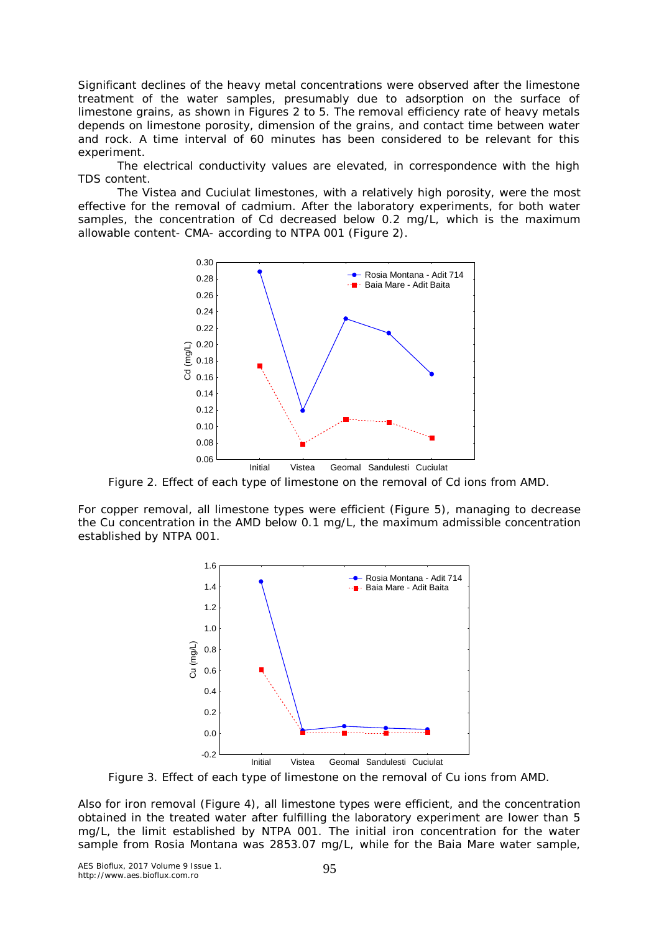Significant declines of the heavy metal concentrations were observed after the limestone treatment of the water samples, presumably due to adsorption on the surface of limestone grains, as shown in Figures 2 to 5. The removal efficiency rate of heavy metals depends on limestone porosity, dimension of the grains, and contact time between water and rock. A time interval of 60 minutes has been considered to be relevant for this experiment.

The electrical conductivity values are elevated, in correspondence with the high TDS content.

The Vistea and Cuciulat limestones, with a relatively high porosity, were the most effective for the removal of cadmium. After the laboratory experiments, for both water samples, the concentration of Cd decreased below 0.2 mg/L, which is the maximum allowable content- CMA- according to NTPA 001 (Figure 2).



Figure 2. Effect of each type of limestone on the removal of Cd ions from AMD.

For copper removal, all limestone types were efficient (Figure 5), managing to decrease the Cu concentration in the AMD below 0.1 mg/L, the maximum admissible concentration established by NTPA 001.



Figure 3. Effect of each type of limestone on the removal of Cu ions from AMD.

Also for iron removal (Figure 4), all limestone types were efficient, and the concentration obtained in the treated water after fulfilling the laboratory experiment are lower than 5 mg/L, the limit established by NTPA 001. The initial iron concentration for the water sample from Rosia Montana was 2853.07 mg/L, while for the Baia Mare water sample,

AES Bioflux, 2017 Volume 9 Issue 1. http://www.aes.bioflux.com.ro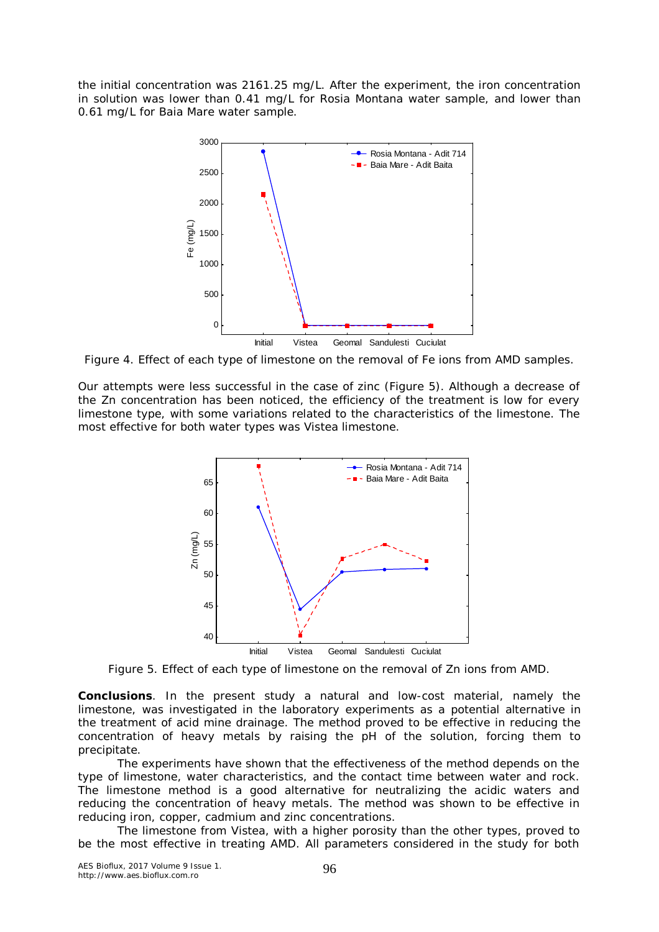the initial concentration was 2161.25 mg/L. After the experiment, the iron concentration in solution was lower than 0.41 mg/L for Rosia Montana water sample, and lower than 0.61 mg/L for Baia Mare water sample.



Figure 4. Effect of each type of limestone on the removal of Fe ions from AMD samples.

Our attempts were less successful in the case of zinc (Figure 5). Although a decrease of the Zn concentration has been noticed, the efficiency of the treatment is low for every limestone type, with some variations related to the characteristics of the limestone. The most effective for both water types was Vistea limestone.



Figure 5. Effect of each type of limestone on the removal of Zn ions from AMD.

**Conclusions**. In the present study a natural and low-cost material, namely the limestone, was investigated in the laboratory experiments as a potential alternative in the treatment of acid mine drainage. The method proved to be effective in reducing the concentration of heavy metals by raising the pH of the solution, forcing them to precipitate.

The experiments have shown that the effectiveness of the method depends on the type of limestone, water characteristics, and the contact time between water and rock. The limestone method is a good alternative for neutralizing the acidic waters and reducing the concentration of heavy metals. The method was shown to be effective in reducing iron, copper, cadmium and zinc concentrations.

The limestone from Vistea, with a higher porosity than the other types, proved to be the most effective in treating AMD. All parameters considered in the study for both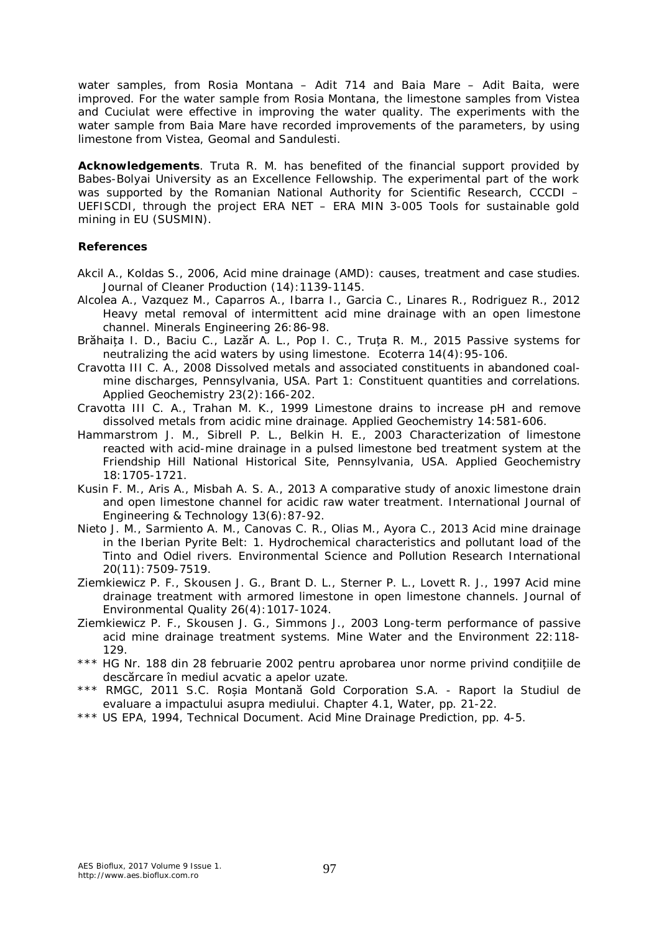water samples, from Rosia Montana – Adit 714 and Baia Mare – Adit Baita, were improved. For the water sample from Rosia Montana, the limestone samples from Vistea and Cuciulat were effective in improving the water quality. The experiments with the water sample from Baia Mare have recorded improvements of the parameters, by using limestone from Vistea, Geomal and Sandulesti.

**Acknowledgements**. Truta R. M. has benefited of the financial support provided by Babes-Bolyai University as an Excellence Fellowship. The experimental part of the work was supported by the Romanian National Authority for Scientific Research, CCCDI – UEFISCDI, through the project ERA NET – ERA MIN 3-005 Tools for sustainable gold mining in EU (SUSMIN).

## **References**

- Akcil A., Koldas S., 2006, Acid mine drainage (AMD): causes, treatment and case studies. Journal of Cleaner Production (14):1139-1145.
- Alcolea A., Vazquez M., Caparros A., Ibarra I., Garcia C., Linares R., Rodriguez R., 2012 Heavy metal removal of intermittent acid mine drainage with an open limestone channel. Minerals Engineering 26:86-98.
- Brăhaița I. D., Baciu C., Lazăr A. L., Pop I. C., Truța R. M., 2015 Passive systems for neutralizing the acid waters by using limestone. Ecoterra 14(4):95-106.
- Cravotta III C. A., 2008 Dissolved metals and associated constituents in abandoned coalmine discharges, Pennsylvania, USA. Part 1: Constituent quantities and correlations. Applied Geochemistry 23(2):166-202.
- Cravotta III C. A., Trahan M. K., 1999 Limestone drains to increase pH and remove dissolved metals from acidic mine drainage. Applied Geochemistry 14:581-606.
- Hammarstrom J. M., Sibrell P. L., Belkin H. E., 2003 Characterization of limestone reacted with acid-mine drainage in a pulsed limestone bed treatment system at the Friendship Hill National Historical Site, Pennsylvania, USA. Applied Geochemistry 18:1705-1721.
- Kusin F. M., Aris A., Misbah A. S. A., 2013 A comparative study of anoxic limestone drain and open limestone channel for acidic raw water treatment. International Journal of Engineering & Technology 13(6):87-92.
- Nieto J. M., Sarmiento A. M., Canovas C. R., Olias M., Ayora C., 2013 Acid mine drainage in the Iberian Pyrite Belt: 1. Hydrochemical characteristics and pollutant load of the Tinto and Odiel rivers. Environmental Science and Pollution Research International 20(11):7509-7519.
- Ziemkiewicz P. F., Skousen J. G., Brant D. L., Sterner P. L., Lovett R. J., 1997 Acid mine drainage treatment with armored limestone in open limestone channels. Journal of Environmental Quality 26(4):1017-1024.
- Ziemkiewicz P. F., Skousen J. G., Simmons J., 2003 Long-term performance of passive acid mine drainage treatment systems. Mine Water and the Environment 22:118- 129.
- \*\*\* HG Nr. 188 din 28 februarie 2002 pentru aprobarea unor norme privind condițiile de descărcare în mediul acvatic a apelor uzate.
- \*\*\* RMGC, 2011 S.C. Roșia Montană Gold Corporation S.A. Raport la Studiul de evaluare a impactului asupra mediului. Chapter 4.1, Water, pp. 21-22.
- \*\*\* US EPA, 1994, Technical Document. Acid Mine Drainage Prediction, pp. 4-5.